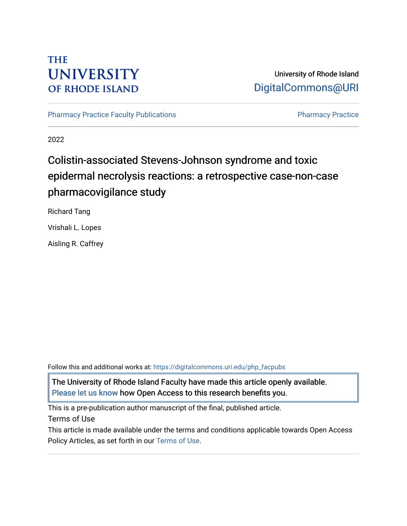## **THE UNIVERSITY OF RHODE ISLAND**

### University of Rhode Island [DigitalCommons@URI](https://digitalcommons.uri.edu/)

[Pharmacy Practice Faculty Publications](https://digitalcommons.uri.edu/php_facpubs) **Pharmacy Practice** Pharmacy Practice

2022

# Colistin-associated Stevens-Johnson syndrome and toxic epidermal necrolysis reactions: a retrospective case-non-case pharmacovigilance study

Richard Tang

Vrishali L. Lopes

Aisling R. Caffrey

Follow this and additional works at: [https://digitalcommons.uri.edu/php\\_facpubs](https://digitalcommons.uri.edu/php_facpubs?utm_source=digitalcommons.uri.edu%2Fphp_facpubs%2F1728&utm_medium=PDF&utm_campaign=PDFCoverPages) 

The University of Rhode Island Faculty have made this article openly available. [Please let us know](http://web.uri.edu/library-digital-initiatives/open-access-online-form/) how Open Access to this research benefits you.

This is a pre-publication author manuscript of the final, published article.

Terms of Use

This article is made available under the terms and conditions applicable towards Open Access Policy Articles, as set forth in our [Terms of Use](https://digitalcommons.uri.edu/php_facpubs/oa_policy_terms.html).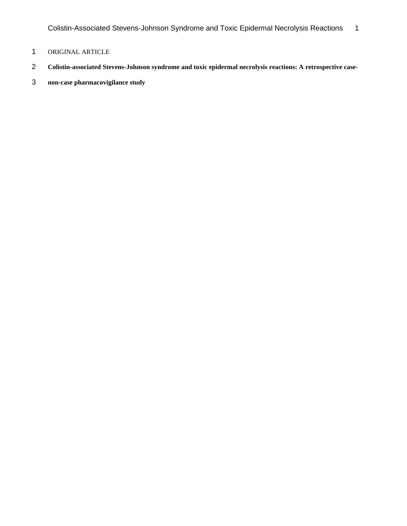Colistin-Associated Stevens-Johnson Syndrome and Toxic Epidermal Necrolysis Reactions 1

- ORIGINAL ARTICLE
- **Colistin-associated Stevens-Johnson syndrome and toxic epidermal necrolysis reactions: A retrospective case-**
- **non-case pharmacovigilance study**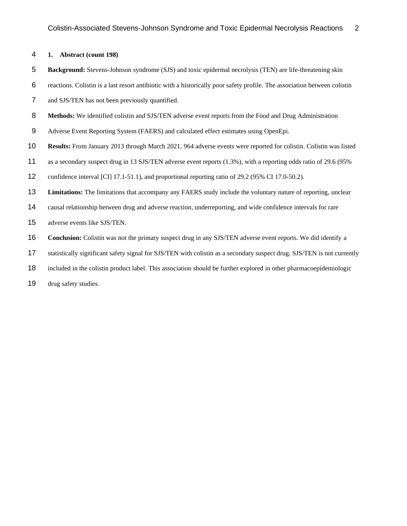#### **1. Abstract (count 198)**

- **Background:** Stevens-Johnson syndrome (SJS) and toxic epidermal necrolysis (TEN) are life-threatening skin
- reactions. Colistin is a last resort antibiotic with a historically poor safety profile. The association between colistin
- and SJS/TEN has not been previously quantified.
- **Methods:** We identified colistin and SJS/TEN adverse event reports from the Food and Drug Administration
- Adverse Event Reporting System (FAERS) and calculated effect estimates using OpenEpi.
- **Results:** From January 2013 through March 2021, 964 adverse events were reported for colistin. Colistin was listed
- as a secondary suspect drug in 13 SJS/TEN adverse event reports (1.3%), with a reporting odds ratio of 29.6 (95%
- confidence interval [CI] 17.1-51.1), and proportional reporting ratio of 29.2 (95% CI 17.0-50.2).
- **Limitations:** The limitations that accompany any FAERS study include the voluntary nature of reporting, unclear
- causal relationship between drug and adverse reaction, underreporting, and wide confidence intervals for rare
- adverse events like SJS/TEN.
- **Conclusion:** Colistin was not the primary suspect drug in any SJS/TEN adverse event reports. We did identify a
- statistically significant safety signal for SJS/TEN with colistin as a secondary suspect drug. SJS/TEN is not currently
- included in the colistin product label. This association should be further explored in other pharmacoepidemiologic
- 19 drug safety studies.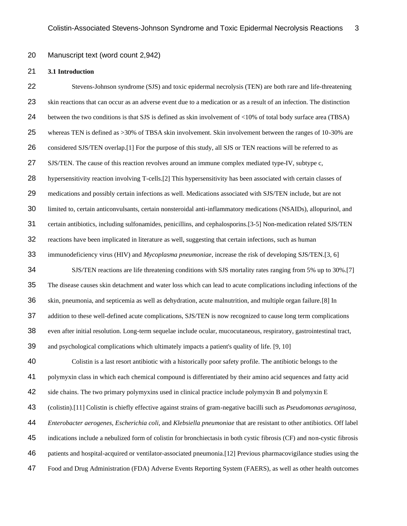#### Manuscript text (word count 2,942)

#### **3.1 Introduction**

 Stevens-Johnson syndrome (SJS) and toxic epidermal necrolysis (TEN) are both rare and life-threatening skin reactions that can occur as an adverse event due to a medication or as a result of an infection. The distinction between the two conditions is that SJS is defined as skin involvement of <10% of total body surface area (TBSA) whereas TEN is defined as >30% of TBSA skin involvement. Skin involvement between the ranges of 10-30% are considered SJS/TEN overlap.[1] For the purpose of this study, all SJS or TEN reactions will be referred to as SJS/TEN. The cause of this reaction revolves around an immune complex mediated type-IV, subtype c, hypersensitivity reaction involving T-cells.[2] This hypersensitivity has been associated with certain classes of medications and possibly certain infections as well. Medications associated with SJS/TEN include, but are not limited to, certain anticonvulsants, certain nonsteroidal anti-inflammatory medications (NSAIDs), allopurinol, and certain antibiotics, including sulfonamides, penicillins, and cephalosporins.[3-5] Non-medication related SJS/TEN reactions have been implicated in literature as well, suggesting that certain infections, such as human immunodeficiency virus (HIV) and *Mycoplasma pneumoniae*, increase the risk of developing SJS/TEN.[3, 6] SJS/TEN reactions are life threatening conditions with SJS mortality rates ranging from 5% up to 30%.[7] The disease causes skin detachment and water loss which can lead to acute complications including infections of the skin, pneumonia, and septicemia as well as dehydration, acute malnutrition, and multiple organ failure.[8] In addition to these well-defined acute complications, SJS/TEN is now recognized to cause long term complications even after initial resolution. Long-term sequelae include ocular, mucocutaneous, respiratory, gastrointestinal tract, and psychological complications which ultimately impacts a patient's quality of life. [9, 10] Colistin is a last resort antibiotic with a historically poor safety profile. The antibiotic belongs to the polymyxin class in which each chemical compound is differentiated by their amino acid sequences and fatty acid side chains. The two primary polymyxins used in clinical practice include polymyxin B and polymyxin E (colistin).[11] Colistin is chiefly effective against strains of gram-negative bacilli such as *Pseudomonas aeruginosa, Enterobacter aerogenes, Escherichia coli,* and *Klebsiella pneumoniae* that are resistant to other antibiotics. Off label indications include a nebulized form of colistin for bronchiectasis in both cystic fibrosis (CF) and non-cystic fibrosis patients and hospital-acquired or ventilator-associated pneumonia.[12] Previous pharmacovigilance studies using the Food and Drug Administration (FDA) Adverse Events Reporting System (FAERS), as well as other health outcomes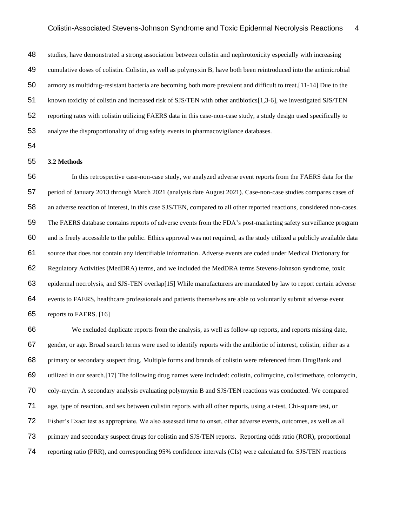studies, have demonstrated a strong association between colistin and nephrotoxicity especially with increasing cumulative doses of colistin. Colistin, as well as polymyxin B, have both been reintroduced into the antimicrobial armory as multidrug-resistant bacteria are becoming both more prevalent and difficult to treat.[11-14] Due to the known toxicity of colistin and increased risk of SJS/TEN with other antibiotics[1,3-6], we investigated SJS/TEN reporting rates with colistin utilizing FAERS data in this case-non-case study, a study design used specifically to analyze the disproportionality of drug safety events in pharmacovigilance databases.

#### **3.2 Methods**

 In this retrospective case-non-case study, we analyzed adverse event reports from the FAERS data for the period of January 2013 through March 2021 (analysis date August 2021). Case-non-case studies compares cases of an adverse reaction of interest, in this case SJS/TEN, compared to all other reported reactions, considered non-cases. The FAERS database contains reports of adverse events from the FDA's post-marketing safety surveillance program and is freely accessible to the public. Ethics approval was not required, as the study utilized a publicly available data source that does not contain any identifiable information. Adverse events are coded under Medical Dictionary for Regulatory Activities (MedDRA) terms, and we included the MedDRA terms Stevens-Johnson syndrome, toxic epidermal necrolysis, and SJS-TEN overlap[15] While manufacturers are mandated by law to report certain adverse events to FAERS, healthcare professionals and patients themselves are able to voluntarily submit adverse event reports to FAERS. [16]

 We excluded duplicate reports from the analysis, as well as follow-up reports, and reports missing date, gender, or age. Broad search terms were used to identify reports with the antibiotic of interest, colistin, either as a primary or secondary suspect drug. Multiple forms and brands of colistin were referenced from DrugBank and utilized in our search.[17] The following drug names were included: colistin, colimycine, colistimethate, colomycin, coly-mycin. A secondary analysis evaluating polymyxin B and SJS/TEN reactions was conducted. We compared age, type of reaction, and sex between colistin reports with all other reports, using a t-test, Chi-square test, or Fisher's Exact test as appropriate. We also assessed time to onset, other adverse events, outcomes, as well as all primary and secondary suspect drugs for colistin and SJS/TEN reports. Reporting odds ratio (ROR), proportional reporting ratio (PRR), and corresponding 95% confidence intervals (CIs) were calculated for SJS/TEN reactions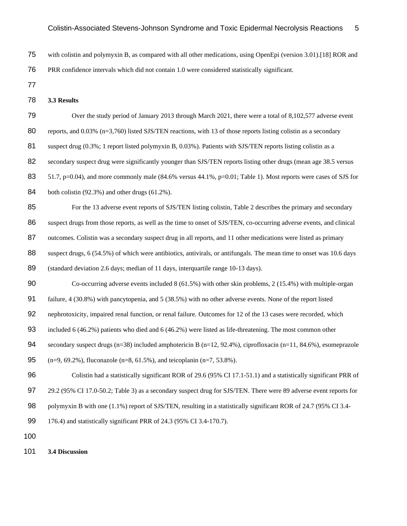- 75 with colistin and polymyxin B, as compared with all other medications, using OpenEpi (version 3.01).[18] ROR and
- 76 PRR confidence intervals which did not contain 1.0 were considered statistically significant.
- 77
- 78 **3.3 Results**
- 79 Over the study period of January 2013 through March 2021, there were a total of 8,102,577 adverse event 80 reports, and 0.03% ( $n=3,760$ ) listed SJS/TEN reactions, with 13 of those reports listing colistin as a secondary 81 suspect drug (0.3%; 1 report listed polymyxin B, 0.03%). Patients with SJS/TEN reports listing colistin as a 82 secondary suspect drug were significantly younger than SJS/TEN reports listing other drugs (mean age 38.5 versus 83 51.7, p=0.04), and more commonly male (84.6% versus 44.1%, p=0.01; Table 1). Most reports were cases of SJS for 84 both colistin  $(92.3\%)$  and other drugs  $(61.2\%)$ . 85 For the 13 adverse event reports of SJS/TEN listing colistin, Table 2 describes the primary and secondary 86 suspect drugs from those reports, as well as the time to onset of SJS/TEN, co-occurring adverse events, and clinical 87 outcomes. Colistin was a secondary suspect drug in all reports, and 11 other medications were listed as primary 88 suspect drugs, 6 (54.5%) of which were antibiotics, antivirals, or antifungals. The mean time to onset was 10.6 days 89 (standard deviation 2.6 days; median of 11 days, interquartile range 10-13 days). 90 Co-occurring adverse events included 8 (61.5%) with other skin problems, 2 (15.4%) with multiple-organ 91 failure, 4 (30.8%) with pancytopenia, and 5 (38.5%) with no other adverse events. None of the report listed 92 nephrotoxicity, impaired renal function, or renal failure. Outcomes for 12 of the 13 cases were recorded, which 93 included 6 (46.2%) patients who died and 6 (46.2%) were listed as life-threatening. The most common other 94 secondary suspect drugs (n=38) included amphotericin B (n=12, 92.4%), ciprofloxacin (n=11, 84.6%), esomeprazole 95 (n=9, 69.2%), fluconazole (n=8, 61.5%), and teicoplanin (n=7, 53.8%). 96 Colistin had a statistically significant ROR of 29.6 (95% CI 17.1-51.1) and a statistically significant PRR of 97 29.2 (95% CI 17.0-50.2; Table 3) as a secondary suspect drug for SJS/TEN. There were 89 adverse event reports for 98 polymyxin B with one (1.1%) report of SJS/TEN, resulting in a statistically significant ROR of 24.7 (95% CI 3.4-99 176.4) and statistically significant PRR of 24.3 (95% CI 3.4-170.7). 100
- 101 **3.4 Discussion**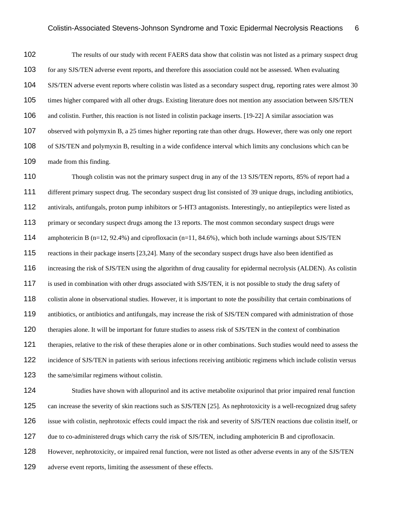The results of our study with recent FAERS data show that colistin was not listed as a primary suspect drug for any SJS/TEN adverse event reports, and therefore this association could not be assessed. When evaluating SJS/TEN adverse event reports where colistin was listed as a secondary suspect drug, reporting rates were almost 30 times higher compared with all other drugs. Existing literature does not mention any association between SJS/TEN and colistin. Further, this reaction is not listed in colistin package inserts. [19-22] A similar association was observed with polymyxin B, a 25 times higher reporting rate than other drugs. However, there was only one report of SJS/TEN and polymyxin B, resulting in a wide confidence interval which limits any conclusions which can be made from this finding.

110 Though colistin was not the primary suspect drug in any of the 13 SJS/TEN reports, 85% of report had a different primary suspect drug. The secondary suspect drug list consisted of 39 unique drugs, including antibiotics, antivirals, antifungals, proton pump inhibitors or 5-HT3 antagonists. Interestingly, no antiepileptics were listed as 113 primary or secondary suspect drugs among the 13 reports. The most common secondary suspect drugs were amphotericin B (n=12, 92.4%) and ciprofloxacin (n=11, 84.6%), which both include warnings about SJS/TEN reactions in their package inserts [23,24]. Many of the secondary suspect drugs have also been identified as increasing the risk of SJS/TEN using the algorithm of drug causality for epidermal necrolysis (ALDEN). As colistin is used in combination with other drugs associated with SJS/TEN, it is not possible to study the drug safety of colistin alone in observational studies. However, it is important to note the possibility that certain combinations of 119 antibiotics, or antibiotics and antifungals, may increase the risk of SJS/TEN compared with administration of those 120 therapies alone. It will be important for future studies to assess risk of SJS/TEN in the context of combination therapies, relative to the risk of these therapies alone or in other combinations. Such studies would need to assess the incidence of SJS/TEN in patients with serious infections receiving antibiotic regimens which include colistin versus the same/similar regimens without colistin.

 Studies have shown with allopurinol and its active metabolite oxipurinol that prior impaired renal function can increase the severity of skin reactions such as SJS/TEN [25]. As nephrotoxicity is a well-recognized drug safety issue with colistin, nephrotoxic effects could impact the risk and severity of SJS/TEN reactions due colistin itself, or due to co-administered drugs which carry the risk of SJS/TEN, including amphotericin B and ciprofloxacin.

However, nephrotoxicity, or impaired renal function, were not listed as other adverse events in any of the SJS/TEN

129 adverse event reports, limiting the assessment of these effects.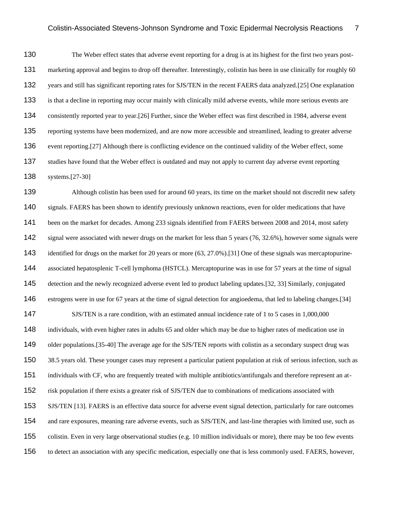The Weber effect states that adverse event reporting for a drug is at its highest for the first two years post- marketing approval and begins to drop off thereafter. Interestingly, colistin has been in use clinically for roughly 60 years and still has significant reporting rates for SJS/TEN in the recent FAERS data analyzed.[25] One explanation is that a decline in reporting may occur mainly with clinically mild adverse events, while more serious events are consistently reported year to year.[26] Further, since the Weber effect was first described in 1984, adverse event reporting systems have been modernized, and are now more accessible and streamlined, leading to greater adverse event reporting.[27] Although there is conflicting evidence on the continued validity of the Weber effect, some 137 studies have found that the Weber effect is outdated and may not apply to current day adverse event reporting systems.[27-30]

139 Although colistin has been used for around 60 years, its time on the market should not discredit new safety signals. FAERS has been shown to identify previously unknown reactions, even for older medications that have been on the market for decades. Among 233 signals identified from FAERS between 2008 and 2014, most safety 142 signal were associated with newer drugs on the market for less than 5 years (76, 32.6%), however some signals were identified for drugs on the market for 20 years or more (63, 27.0%).[31] One of these signals was mercaptopurine- associated hepatosplenic T-cell lymphoma (HSTCL). Mercaptopurine was in use for 57 years at the time of signal detection and the newly recognized adverse event led to product labeling updates.[32, 33] Similarly, conjugated estrogens were in use for 67 years at the time of signal detection for angioedema, that led to labeling changes.[34] 147 SJS/TEN is a rare condition, with an estimated annual incidence rate of 1 to 5 cases in 1,000,000 individuals, with even higher rates in adults 65 and older which may be due to higher rates of medication use in 149 older populations. [35-40] The average age for the SJS/TEN reports with colistin as a secondary suspect drug was 38.5 years old. These younger cases may represent a particular patient population at risk of serious infection, such as individuals with CF, who are frequently treated with multiple antibiotics/antifungals and therefore represent an at- risk population if there exists a greater risk of SJS/TEN due to combinations of medications associated with SJS/TEN [13]. FAERS is an effective data source for adverse event signal detection, particularly for rare outcomes and rare exposures, meaning rare adverse events, such as SJS/TEN, and last-line therapies with limited use, such as colistin. Even in very large observational studies (e.g. 10 million individuals or more), there may be too few events to detect an association with any specific medication, especially one that is less commonly used. FAERS, however,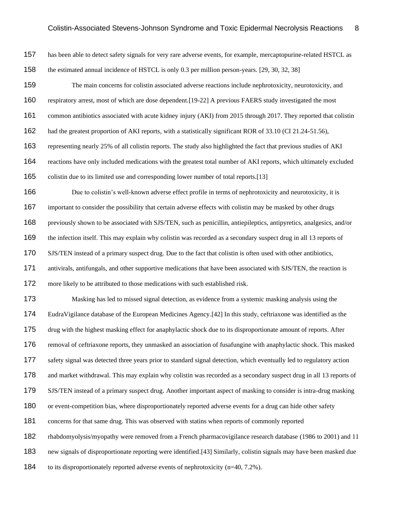has been able to detect safety signals for very rare adverse events, for example, mercaptopurine-related HSTCL as the estimated annual incidence of HSTCL is only 0.3 per million person-years. [29, 30, 32, 38] The main concerns for colistin associated adverse reactions include nephrotoxicity, neurotoxicity, and respiratory arrest, most of which are dose dependent.[19-22] A previous FAERS study investigated the most common antibiotics associated with acute kidney injury (AKI) from 2015 through 2017. They reported that colistin had the greatest proportion of AKI reports, with a statistically significant ROR of 33.10 (CI 21.24-51.56), representing nearly 25% of all colistin reports. The study also highlighted the fact that previous studies of AKI reactions have only included medications with the greatest total number of AKI reports, which ultimately excluded colistin due to its limited use and corresponding lower number of total reports.[13] Due to colistin's well-known adverse effect profile in terms of nephrotoxicity and neurotoxicity, it is important to consider the possibility that certain adverse effects with colistin may be masked by other drugs previously shown to be associated with SJS/TEN, such as penicillin, antiepileptics, antipyretics, analgesics, and/or 169 the infection itself. This may explain why colistin was recorded as a secondary suspect drug in all 13 reports of SJS/TEN instead of a primary suspect drug. Due to the fact that colistin is often used with other antibiotics, antivirals, antifungals, and other supportive medications that have been associated with SJS/TEN, the reaction is more likely to be attributed to those medications with such established risk. Masking has led to missed signal detection, as evidence from a systemic masking analysis using the EudraVigilance database of the European Medicines Agency.[42] In this study, ceftriaxone was identified as the drug with the highest masking effect for anaphylactic shock due to its disproportionate amount of reports. After removal of ceftriaxone reports, they unmasked an association of fusafungine with anaphylactic shock. This masked safety signal was detected three years prior to standard signal detection, which eventually led to regulatory action and market withdrawal. This may explain why colistin was recorded as a secondary suspect drug in all 13 reports of SJS/TEN instead of a primary suspect drug. Another important aspect of masking to consider is intra-drug masking 180 or event-competition bias, where disproportionately reported adverse events for a drug can hide other safety concerns for that same drug. This was observed with statins when reports of commonly reported rhabdomyolysis/myopathy were removed from a French pharmacovigilance research database (1986 to 2001) and 11 new signals of disproportionate reporting were identified.[43] Similarly, colistin signals may have been masked due to its disproportionately reported adverse events of nephrotoxicity (n=40, 7.2%).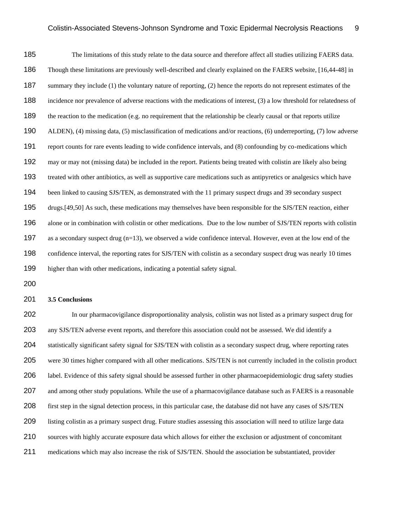The limitations of this study relate to the data source and therefore affect all studies utilizing FAERS data. Though these limitations are previously well-described and clearly explained on the FAERS website, [16,44-48] in 187 summary they include (1) the voluntary nature of reporting, (2) hence the reports do not represent estimates of the incidence nor prevalence of adverse reactions with the medications of interest, (3) a low threshold for relatedness of the reaction to the medication (e.g. no requirement that the relationship be clearly causal or that reports utilize ALDEN), (4) missing data, (5) misclassification of medications and/or reactions, (6) underreporting, (7) low adverse report counts for rare events leading to wide confidence intervals, and (8) confounding by co-medications which may or may not (missing data) be included in the report. Patients being treated with colistin are likely also being treated with other antibiotics, as well as supportive care medications such as antipyretics or analgesics which have been linked to causing SJS/TEN, as demonstrated with the 11 primary suspect drugs and 39 secondary suspect drugs.[49,50] As such, these medications may themselves have been responsible for the SJS/TEN reaction, either alone or in combination with colistin or other medications. Due to the low number of SJS/TEN reports with colistin as a secondary suspect drug (n=13), we observed a wide confidence interval. However, even at the low end of the confidence interval, the reporting rates for SJS/TEN with colistin as a secondary suspect drug was nearly 10 times higher than with other medications, indicating a potential safety signal.

#### **3.5 Conclusions**

 In our pharmacovigilance disproportionality analysis, colistin was not listed as a primary suspect drug for any SJS/TEN adverse event reports, and therefore this association could not be assessed. We did identify a statistically significant safety signal for SJS/TEN with colistin as a secondary suspect drug, where reporting rates were 30 times higher compared with all other medications. SJS/TEN is not currently included in the colistin product label. Evidence of this safety signal should be assessed further in other pharmacoepidemiologic drug safety studies 207 and among other study populations. While the use of a pharmacovigilance database such as FAERS is a reasonable first step in the signal detection process, in this particular case, the database did not have any cases of SJS/TEN listing colistin as a primary suspect drug. Future studies assessing this association will need to utilize large data sources with highly accurate exposure data which allows for either the exclusion or adjustment of concomitant medications which may also increase the risk of SJS/TEN. Should the association be substantiated, provider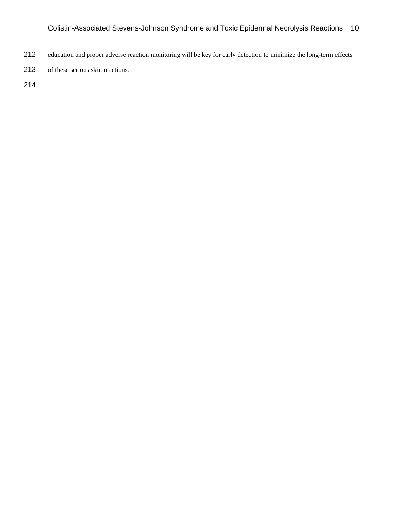- education and proper adverse reaction monitoring will be key for early detection to minimize the long-term effects
- of these serious skin reactions.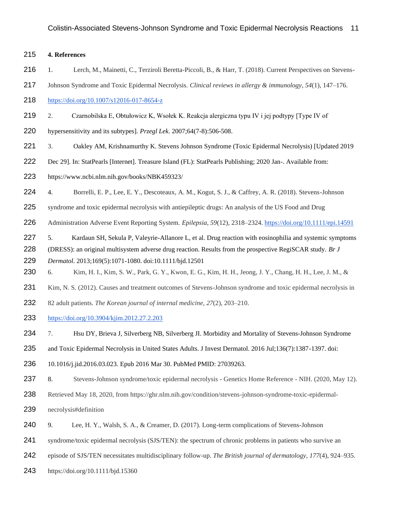#### **4. References**

- 216 1. Lerch, M., Mainetti, C., Terziroli Beretta-Piccoli, B., & Harr, T. (2018). Current Perspectives on Stevens-
- Johnson Syndrome and Toxic Epidermal Necrolysis. *Clinical reviews in allergy & immunology*, *54*(1), 147–176.
- <https://doi.org/10.1007/s12016-017-8654-z>
- 2. Czarnobilska E, Obtułowicz K, Wsołek K. Reakcja alergiczna typu IV i jej podtypy [Type IV of
- hypersensitivity and its subtypes]. *Przegl Lek*. 2007;64(7-8):506-508.
- 3. Oakley AM, Krishnamurthy K. Stevens Johnson Syndrome (Toxic Epidermal Necrolysis) [Updated 2019
- Dec 29]. In: StatPearls [Internet]. Treasure Island (FL): StatPearls Publishing; 2020 Jan-. Available from[:](https://www.ncbi.nlm.nih.gov/books/NBK459323/)
- <https://www.ncbi.nlm.nih.gov/books/NBK459323/>
- 4. Borrelli, E. P., Lee, E. Y., Descoteaux, A. M., Kogut, S. J., & Caffrey, A. R. (2018). Stevens-Johnson
- syndrome and toxic epidermal necrolysis with antiepileptic drugs: An analysis of the US Food and Drug
- Administration Adverse Event Reporting System. *Epilepsia*, *59*(12), 2318–2324.<https://doi.org/10.1111/epi.14591>
- 227 5. Kardaun SH, Sekula P, Valeyrie-Allanore L, et al. Drug reaction with eosinophilia and systemic symptoms (DRESS): an original multisystem adverse drug reaction. Results from the prospective RegiSCAR study. *Br J*
- *Dermatol*. 2013;169(5):1071-1080. doi:10.1111/bjd.12501
- 6. Kim, H. I., Kim, S. W., Park, G. Y., Kwon, E. G., Kim, H. H., Jeong, J. Y., Chang, H. H., Lee, J. M., &
- 231 Kim, N. S. (2012). Causes and treatment outcomes of Stevens-Johnson syndrome and toxic epidermal necrolysis in
- 82 adult patients. *The Korean journal of internal medicine*, *27*(2), 203–210.
- <https://doi.org/10.3904/kjim.2012.27.2.203>
- 7. Hsu DY, Brieva J, Silverberg NB, Silverberg JI. Morbidity and Mortality of Stevens-Johnson Syndrome
- and Toxic Epidermal Necrolysis in United States Adults. J Invest Dermatol. 2016 Jul;136(7):1387-1397. doi:

10.1016/j.jid.2016.03.023. Epub 2016 Mar 30. PubMed PMID: 27039263.

- 237 8. Stevens-Johnson syndrome/toxic epidermal necrolysis Genetics Home Reference NIH. (2020, May 12).
- Retrieved May 18, 2020, from https://ghr.nlm.nih.gov/condition/stevens-johnson-syndrome-toxic-epidermal-
- necrolysis#definition
- 9. Lee, H. Y., Walsh, S. A., & Creamer, D. (2017). Long-term complications of Stevens-Johnson
- syndrome/toxic epidermal necrolysis (SJS/TEN): the spectrum of chronic problems in patients who survive an
- episode of SJS/TEN necessitates multidisciplinary follow-up. *The British journal of dermatology*, *177*(4), 924–935.
- https://doi.org/10.1111/bjd.15360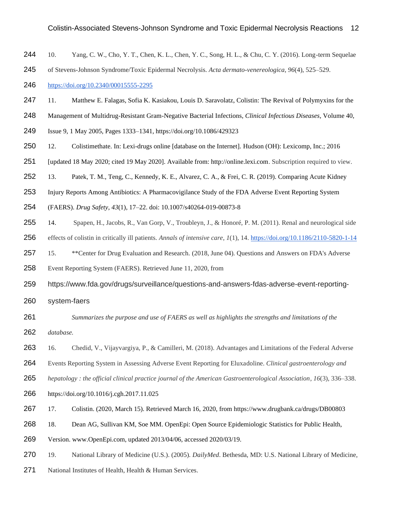- 10. Yang, C. W., Cho, Y. T., Chen, K. L., Chen, Y. C., Song, H. L., & Chu, C. Y. (2016). Long-term Sequelae
- of Stevens-Johnson Syndrome/Toxic Epidermal Necrolysis. *Acta dermato-venereologica*, *96*(4), 525–529.

<https://doi.org/10.2340/00015555-2295>

- 11. Matthew E. Falagas, Sofia K. Kasiakou, Louis D. Saravolatz, Colistin: The Revival of Polymyxins for the
- Management of Multidrug-Resistant Gram-Negative Bacterial Infections, *Clinical Infectious Diseases*, Volume 40,
- Issue 9, 1 May 2005, Pages 1333–1341,<https://doi.org/10.1086/429323>
- 12. Colistimethate. In: Lexi-drugs online [database on the Internet]. Hudson (OH): Lexicomp, Inc.; 2016
- [updated 18 May 2020; cited 19 May 2020]. Available from: http://online.lexi.com. Subscription required to view.
- 13. Patek, T. M., Teng, C., Kennedy, K. E., Alvarez, C. A., & Frei, C. R. (2019). Comparing Acute Kidney
- Injury Reports Among Antibiotics: A Pharmacovigilance Study of the FDA Adverse Event Reporting System
- (FAERS). *Drug Safety*, *43*(1), 17–22. doi: 10.1007/s40264-019-00873-8
- 14. Spapen, H., Jacobs, R., Van Gorp, V., Troubleyn, J., & Honoré, P. M. (2011). Renal and neurological side
- effects of colistin in critically ill patients. *Annals of intensive care*, *1*(1), 14.<https://doi.org/10.1186/2110-5820-1-14>
- 15. \*\*Center for Drug Evaluation and Research. (2018, June 04). Questions and Answers on FDA's Adverse
- Event Reporting System (FAERS). Retrieved June 11, 2020, from
- https://www.fda.gov/drugs/surveillance/questions-and-answers-fdas-adverse-event-reporting-
- system-faers
- *Summarizes the purpose and use of FAERS as well as highlights the strengths and limitations of the database.*
- 263 16. Chedid, V., Vijayvargiya, P., & Camilleri, M. (2018). Advantages and Limitations of the Federal Adverse
- Events Reporting System in Assessing Adverse Event Reporting for Eluxadoline. *Clinical gastroenterology and*
- *hepatology : the official clinical practice journal of the American Gastroenterological Association*, *16*(3), 336–338.
- https://doi.org/10.1016/j.cgh.2017.11.025
- 17. Colistin. (2020, March 15). Retrieved March 16, 2020, from <https://www.drugbank.ca/drugs/DB00803>
- 18. Dean AG, Sullivan KM, Soe MM. OpenEpi: Open Source Epidemiologic Statistics for Public Health,
- Version. www.OpenEpi.com, updated 2013/04/06, accessed 2020/03/19.
- 19. National Library of Medicine (U.S.). (2005). *DailyMed*. Bethesda, MD: U.S. National Library of Medicine,
- 271 National Institutes of Health, Health & Human Services.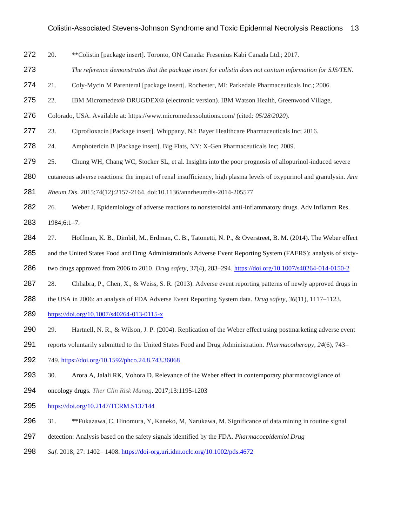- 20. \*\*Colistin [package insert]. Toronto, ON Canada: Fresenius Kabi Canada Ltd.; 2017.
- *The reference demonstrates that the package insert for colistin does not contain information for SJS/TEN.*
- 21. Coly-Mycin M Parenteral [package insert]. Rochester, MI: Parkedale Pharmaceuticals Inc.; 2006.
- 22. IBM Micromedex® DRUGDEX® (electronic version). IBM Watson Health, Greenwood Village,
- Colorado, USA. Available at: https://www.micromedexsolutions.com/ (cited: *05*/*28*/*2020*).
- 23. Ciprofloxacin [Package insert]. Whippany, NJ: Bayer Healthcare Pharmaceuticals Inc; 2016.
- 24. Amphotericin B [Package insert]. Big Flats, NY: X-Gen Pharmaceuticals Inc; 2009.
- 25. Chung WH, Chang WC, Stocker SL, et al. Insights into the poor prognosis of allopurinol-induced severe
- cutaneous adverse reactions: the impact of renal insufficiency, high plasma levels of oxypurinol and granulysin. *Ann*
- *Rheum Dis*. 2015;74(12):2157-2164. doi:10.1136/annrheumdis-2014-205577
- 26. Weber J. Epidemiology of adverse reactions to nonsteroidal anti-inflammatory drugs. Adv Inflamm Res. 1984;6:1–7.
- 284 27. Hoffman, K. B., Dimbil, M., Erdman, C. B., Tatonetti, N. P., & Overstreet, B. M. (2014). The Weber effect
- and the United States Food and Drug Administration's Adverse Event Reporting System (FAERS): analysis of sixty-
- two drugs approved from 2006 to 2010. *Drug safety*, *37*(4), 283–294[. https://doi.org/10.1007/s40264-014-0150-2](https://doi.org/10.1007/s40264-014-0150-2)
- 287 28. Chhabra, P., Chen, X., & Weiss, S. R. (2013). Adverse event reporting patterns of newly approved drugs in
- the USA in 2006: an analysis of FDA Adverse Event Reporting System data. *Drug safety*, *36*(11), 1117–1123.
- <https://doi.org/10.1007/s40264-013-0115-x>
- 290 29. Hartnell, N. R., & Wilson, J. P. (2004). Replication of the Weber effect using postmarketing adverse event
- reports voluntarily submitted to the United States Food and Drug Administration. *Pharmacotherapy*, *24*(6), 743–
- 749.<https://doi.org/10.1592/phco.24.8.743.36068>
- 293 30. Arora A, Jalali RK, Vohora D. Relevance of the Weber effect in contemporary pharmacovigilance of
- oncology drugs. *Ther Clin Risk Manag*. 2017;13:1195-1203
- <https://doi.org/10.2147/TCRM.S137144>
- 31. \*\*Fukazawa, C, Hinomura, Y, Kaneko, M, Narukawa, M. Significance of data mining in routine signal
- detection: Analysis based on the safety signals identified by the FDA. *Pharmacoepidemiol Drug*
- *Saf*. 2018; 27: 1402– 1408. <https://doi-org.uri.idm.oclc.org/10.1002/pds.4672>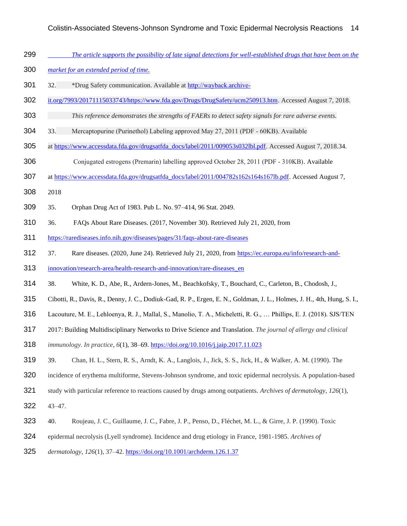- *The article supports the possibility of late signal detections for well-established drugs that have been on the*
- *market for an extended period of time.*
- 301 32. \*Drug Safety communication. Available at http://wayback.archive-
- [it.org/7993/20171115033743/https://www.fda.gov/Drugs/DrugSafety/ucm250913.htm.](http://wayback.archive-it.org/7993/20171115033743/https:/www.fda.gov/Drugs/DrugSafety/ucm250913.htm) Accessed August 7, 2018.
- *This reference demonstrates the strengths of FAERs to detect safety signals for rare adverse events.*
- 33. Mercaptopurine (Purinethol) Labeling approved May 27, 2011 (PDF ‐ 60KB). Available
- 305 at [https://www.accessdata.fda.gov/drugsatfda\\_docs/label/2011/009053s032lbl.pdf.](https://www.accessdata.fda.gov/drugsatfda_docs/label/2011/009053s032lbl.pdf) Accessed August 7, 2018.34.
- Conjugated estrogens (Premarin) labelling approved October 28, 2011 (PDF ‐ 310KB). Available
- at [https://www.accessdata.fda.gov/drugsatfda\\_docs/label/2011/004782s162s164s167lb.pdf.](https://www.accessdata.fda.gov/drugsatfda_docs/label/2011/004782s162s164s167lb.pdf) Accessed August 7,
- 2018
- 35. Orphan Drug Act of 1983. Pub L. No. 97–414, 96 Stat. 2049.
- 36. FAQs About Rare Diseases. (2017, November 30). Retrieved July 21, 2020, from
- <https://rarediseases.info.nih.gov/diseases/pages/31/faqs-about-rare-diseases>
- 37. Rare diseases. (2020, June 24). Retrieved July 21, 2020, from [https://ec.europa.eu/info/research-and-](https://ec.europa.eu/info/research-and-innovation/research-area/health-research-and-innovation/rare-diseases_en)
- [innovation/research-area/health-research-and-innovation/rare-diseases\\_en](https://ec.europa.eu/info/research-and-innovation/research-area/health-research-and-innovation/rare-diseases_en)
- 38. White, K. D., Abe, R., Ardern-Jones, M., Beachkofsky, T., Bouchard, C., Carleton, B., Chodosh, J.,
- Cibotti, R., Davis, R., Denny, J. C., Dodiuk-Gad, R. P., Ergen, E. N., Goldman, J. L., Holmes, J. H., 4th, Hung, S. I.,
- Lacouture, M. E., Lehloenya, R. J., Mallal, S., Manolio, T. A., Micheletti, R. G., … Phillips, E. J. (2018). SJS/TEN
- 2017: Building Multidisciplinary Networks to Drive Science and Translation. *The journal of allergy and clinical*
- *immunology. In practice*, *6*(1), 38–69[. https://doi.org/10.1016/j.jaip.2017.11.023](https://doi.org/10.1016/j.jaip.2017.11.023)
- 39. Chan, H. L., Stern, R. S., Arndt, K. A., Langlois, J., Jick, S. S., Jick, H., & Walker, A. M. (1990). The
- incidence of erythema multiforme, Stevens-Johnson syndrome, and toxic epidermal necrolysis. A population-based
- study with particular reference to reactions caused by drugs among outpatients. *Archives of dermatology*, *126*(1),
- 43–47.
- 40. Roujeau, J. C., Guillaume, J. C., Fabre, J. P., Penso, D., Fléchet, M. L., & Girre, J. P. (1990). Toxic
- epidermal necrolysis (Lyell syndrome). Incidence and drug etiology in France, 1981-1985. *Archives of*
- *dermatology*, *126*(1), 37–42.<https://doi.org/10.1001/archderm.126.1.37>